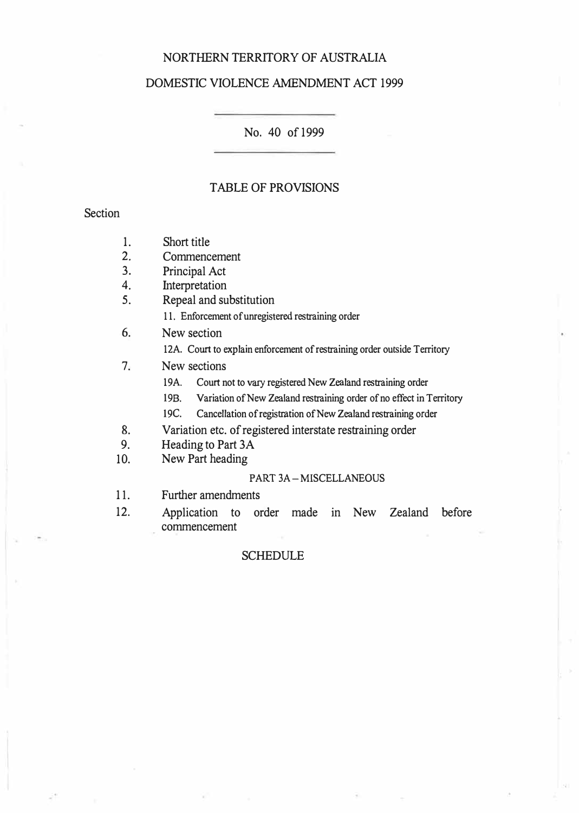#### NORTHERN TERRITORY OF AUSTRALIA

# DOMESTIC VIOLENCE AMENDMENT ACT 1999

#### No. 40 of1999

#### TABLE OF PROVISIONS

#### Section

- 1. Short title<br>2. Commenc
- 2. Commencement
- 3. Principal Act<br>4. Interpretation
- 4. Interpretation<br>5 Repeal and su
- 5. Repeal and substitution
	- 11. Enforcement of unregistered restraining order
- 6. New section
	- 12A. Court to explain enforcement of restraining order outside Territory
- 7. New sections
	- 19A. Court not to vary registered New Zealand restraining order
	- 19B. Variation of New Zealand restraining order of no effect in Territory
	- 19C. Cancellation of registration of New Zealand restraining order
- 8. Variation etc. of registered interstate restraining order<br>9. Heading to Part 3A
- Heading to Part 3A
- 10. New Part heading

#### PART 3A-MISCELLANEOUS

- 11. Further amendments
- 12. Application to order made in New Zealand before commencement

#### **SCHEDULE**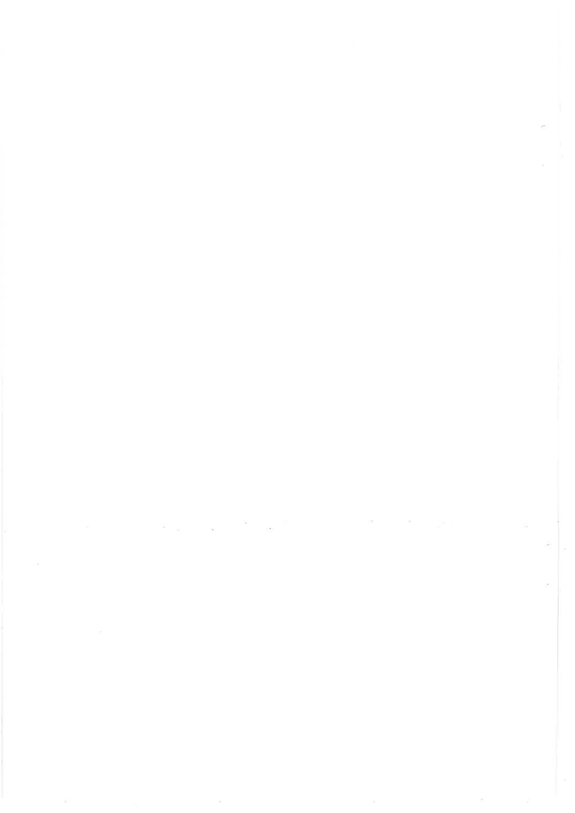$\label{eq:2.1} \left\langle \mathcal{P}_{\mathcal{A}}\right\rangle =\left\langle \mathcal{P}_{\mathcal{A}}\right\rangle$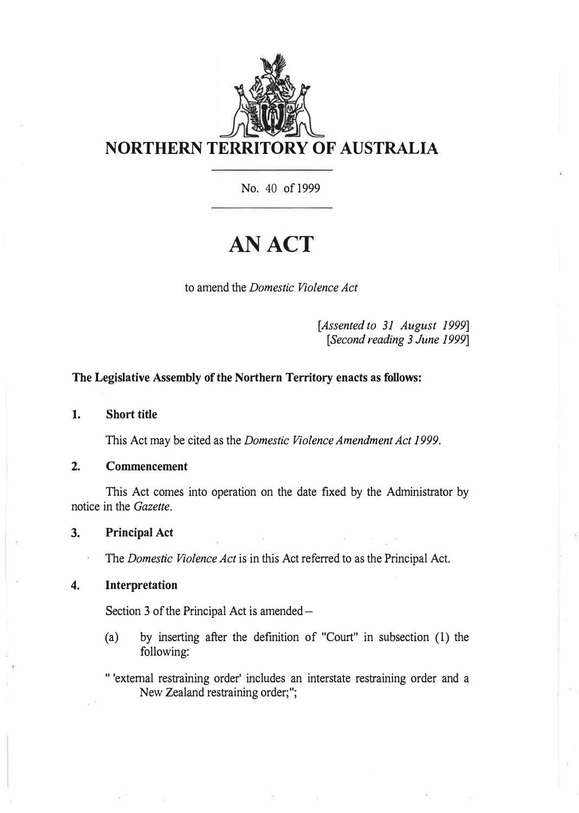

No. 40 of 1999

# **AN ACT**

to amend the *Domestic Violence Act* 

*[Assented to 31 August 1999] [Second reading 3 June 1999]* 

**The Legislative Assembly of the Northern Territory enacts as follows:** 

**1. Short title**

This Act may be cited as the *Domestic Violence Amendment Act 1999.*

#### **2. Commencement**

This Act comes into operation on the date fixed by the Administrator by notice in the *Gazette.* 

**3. Principal Act**

The *Domestic Violence Act* is in this Act referred to as the Principal Act.

**4. Interpretation**

Section 3 of the Principal Act is amended-

- (a) by inserting after the definition of "Court" in subsection (1) the following:
- " 'external restraining order' includes an interstate restraining order and a New Zealand restraining order;";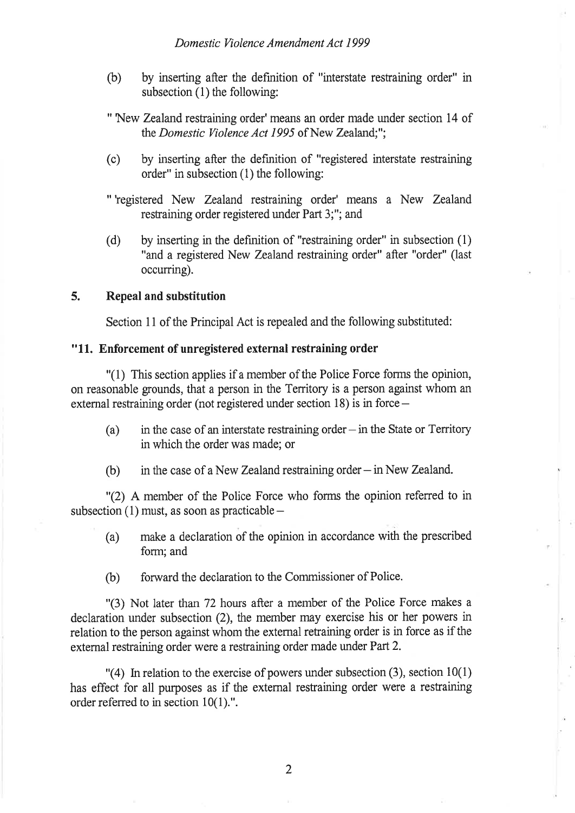- O) by inserting after the definition of "interstate restraining order" in subsection (1) the following:
- " New Zealand restraining order' means an order made under section 14 of the Domestic Violence Act 1995 of New Zealand;";
- (c) by inserting after the defurition of "registered interstate restraining order" in subsection (1) the following:
- "'registered New Zealand restraining order' means a New Zealand restaining order registered under Part 3;"; and
- (d) by inserting in the definition of "restaining order" in subsection (1) "and a registered New Zealand restraining order" after "order" (last occurring).

#### 5. Repeal and substitution

Section l1 of the Principal Act is repealed and the following substituted:

#### "11. Enforcement of unregistered external restraining order

"(1) This section applies if a member of the Police Force forms the opinion, on reasonable grounds, that a person in the Tenitory is a person against whom an external restraining order (not registered under section 18) is in force  $-$ 

- (a) in the case of an interstate restraining order- in the State or Territory in which the order was made; or
- (b) in the case of a New Zealand restraining order  $-$  in New Zealand.

"Q) A member of the Police Force who forms the opinion referred to in subsection  $(1)$  must, as soon as practicable -

- (a) make a declaration of the opinion in accordance with the prescribed form; and
- (b) forward the declaration to the Commissioner of Police.

"(3) Not later than 72 hours after a member of the Police Force makes <sup>a</sup> declaration under subsection (2), the member may exercise his or her powers in relation to the person against whom the extemal retraining order is in force as if the external restraining order were a restraining order made under Part 2.

"(4) In relation to the exercise of powers under subsection  $(3)$ , section  $10(1)$ has effect for all purposes as if the external restraining order were a restraining order referred to in section 10(1).".

2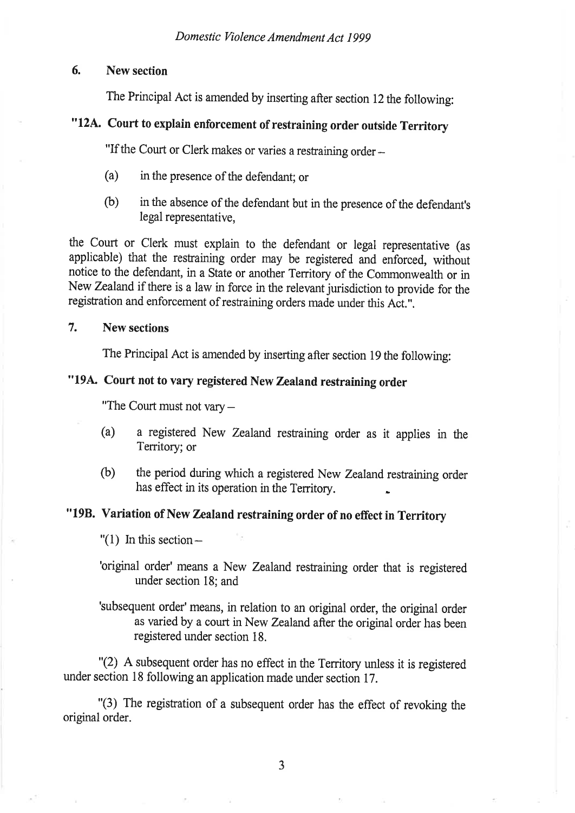# 6. New section

The Principal Act is amended by inserting after section 12 the following:

# "12A. Court to explain enforcement of restraining order outside Territory

"If the Court or Clerk makes or varies a restaining order -

- (a) in the presence of the defendant; or
- (b) in the absence of the defendant but in the presence of the defendant's legal representative,

the Court or clerk must explain to the defendant or legal representative (as applicable) that the restaining order may be registered and enforced, without notice to the defendant, in a State or another Territory of the Commonwealth or in New Zealand if there is a law in force in the relevant jurisdiction to provide for the registation and enforcement of resfaining orders made under this Act.".

#### 7. New sections

The Principal Act is amended by inserting after section 19 the foilowing:

# "19A. Court not to vary registered New Zealand restraining order

"The Court must not vary  $-$ 

- (a) a registered New Zealand restraining order as it applies in the Territory; or
- (b) the period during which a registered New Zealand restraining order has effect in its operation in the Territory.

# "19B. Variation of New Zealand restraining order of no effect in Territory

"(1) In this section  $-$ 

- 'original order' means a New Zealand restraining order that is registered under section 18; and
- 'subsequent ordet'means, in relation to an original order, the original order as varied by a court in New Zealand after the original order has been registered under section 18.

"(2) A subsequent order has no effect in the Territory unless it is registered under section 18 following an application made under section 17.

"(3) The regisfation of a subsequent order has the effect of revoking the original order.

a J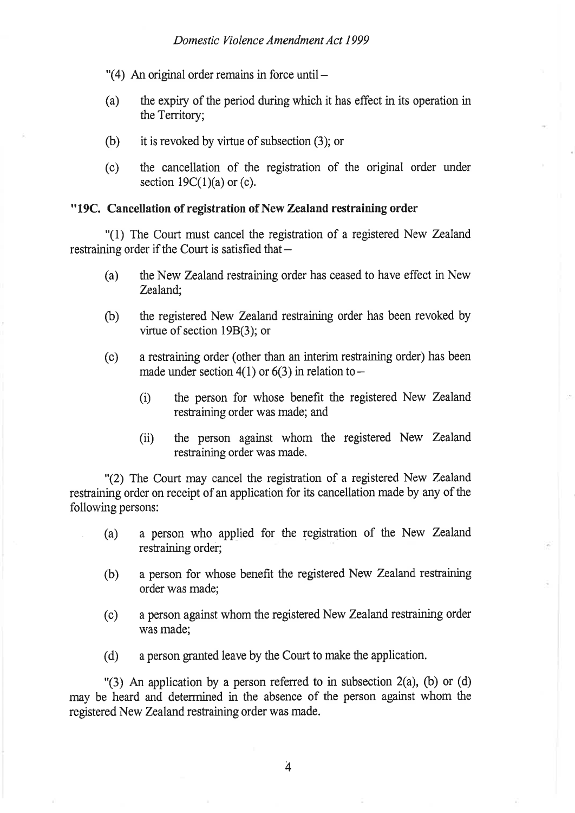- $"$ (4) An original order remains in force until  $-$
- (a) the expiry of the period during which it has effect in its operation in the Territory;
- (b) it is revoked by virtue of subsection  $(3)$ ; or
- (c) the cancellation of the regisfation of the original order under section  $19C(1)(a)$  or (c).

#### "19C. Cancellation of registration of New Zealand restraining order

"(1) The Court must cancel the registration of a registered New Zealand restraining order if the Court is satisfied that  $-$ 

- (a) the New Zealand restraining order has ceased to have effect in New Zealand;
- (b) the registered New Zealand restraining order has been revoked by virtue of section 198(3); or
- (c) a restraining order (other than an interim restraining order) has been made under section 4(1) or 6(3) in relation to  $-$ 
	- (i) the person for whose benefit the registered New Zealand restraining order was made; and
	- (ii) the person against whom the registered New Zealand restraining order was made.

"(2) The Court may cancel the regisffation of a registered New Zealand restaining order on receipt of an application for its cancellation made by any of the following persons:

- (a) a person who applied for the registration of the New Zealand restraining order;
- (b) a person for whose benefit the registered New Zealand restraining order was made;
- (c) a person against whom the registered New Zealand restaining order was made;
- (d) a person granted leave by the Court to make the application.

"(3) An application by a person referred to in subsection  $2(a)$ , (b) or (d) may be heard and determined in the absence of the person against whom the registered New Zealand restraining order was made.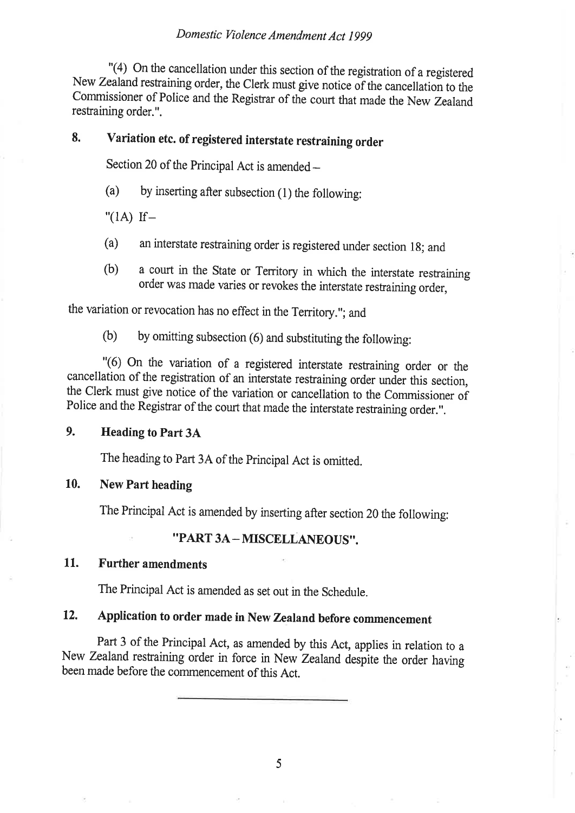"(4) On the cancellation under this section of the registration of a registered New Zealand restraining order, the Clerk must give notice of the cancellation to the Commissioner of Police and the Registrar of the court that made the New Zealand restraining order.".

# 8. Variation etc. of registered interstate restraining order

Section 20 of the Principal Act is amended -

(a) by inserting after subsection (1) the following:

" $(1A)$  If-

- (a) an interstate restraining order is registered under section 18; and
- (b) a court in the State or Territory in which the interstate restraining order was made varies or revokes the interstate resfaining order,

the variation or revocation has no effect in the Territory."; and

(b) by omitting subsection  $(6)$  and substituting the following:

"(6) On the variation of a registered interstate restaining order or the cancellation of the registration of an interstate restraining order under this section, the Clerk must give notice of the variation or cancellation to the Commissioner of Police and the Registrar of the court that made the interstate restraining order.".

# 9. Heading to Part 3A

The heading to Part 3A of the principal Act is omitted.

# 10. New Part heading

The Principal Act is amended by inserting after section 20 the following:

# "PART 3A - MISCELLANEOUS".

#### 11. Further amendments

The Principal Act is amended as set out in the Schedule.

# 12. Application to order made in New Zealand before commencement

Part 3 of the Principal Act, as amended by this Act, applies in relation to <sup>a</sup> New Zealand restraining order in force in New Zealand despite the order having been made before the commencement of this Act.